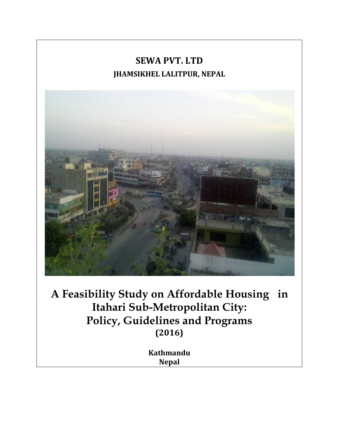## **SEWA PVT. LTD JHAMSIKHEL LALITPUR, NEPAL**



**A Feasibility Study on Affordable Housing in Itahari Sub-Metropolitan City: Policy, Guidelines and Programs (2016)**

> **Kathmandu Nepal**